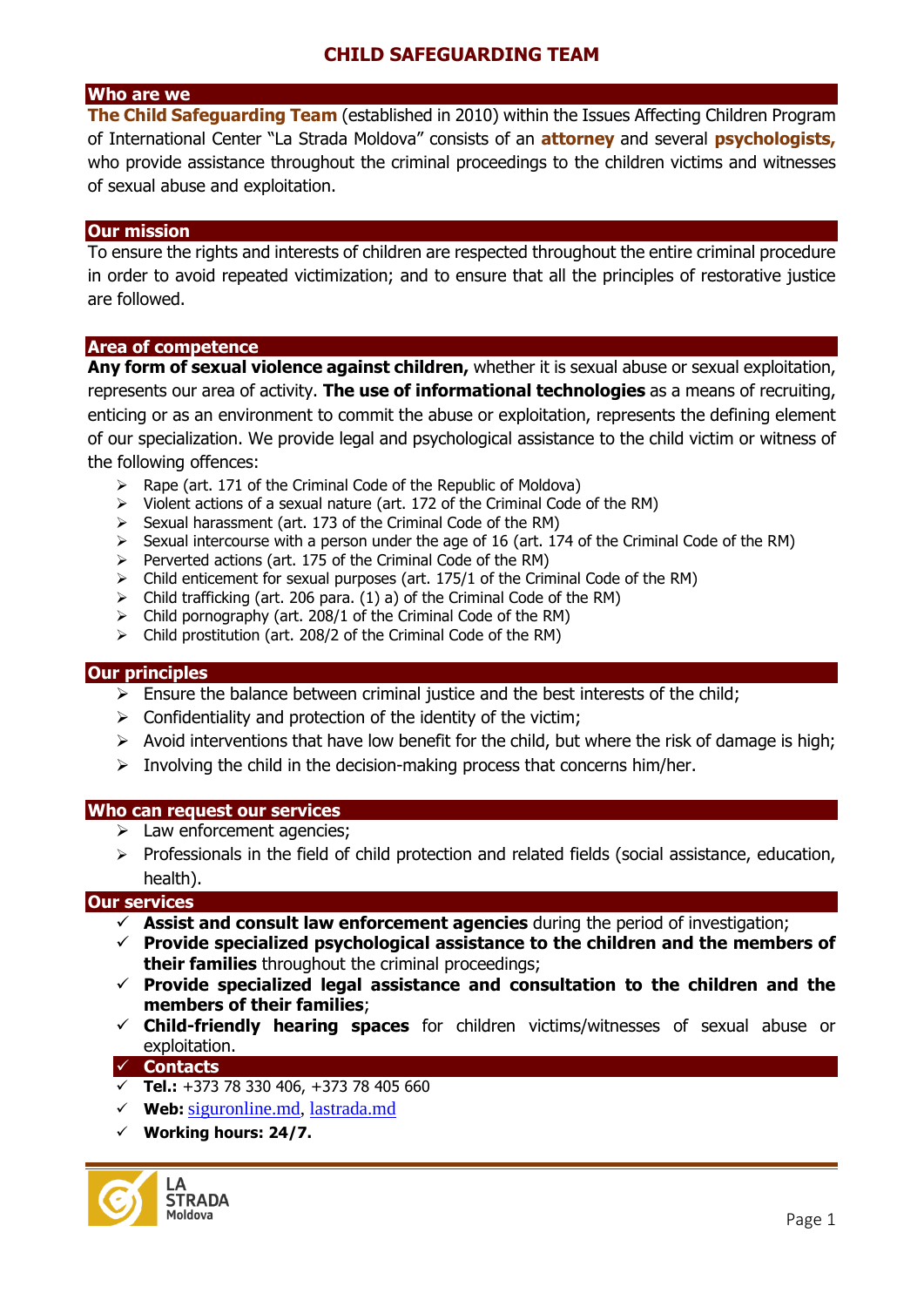### **Who are we**

**The Child Safeguarding Team** (established in 2010) within the Issues Affecting Children Program of International Center "La Strada Moldova" consists of an **attorney** and several **psychologists,**  who provide assistance throughout the criminal proceedings to the children victims and witnesses of sexual abuse and exploitation.

#### **Our mission**

To ensure the rights and interests of children are respected throughout the entire criminal procedure in order to avoid repeated victimization; and to ensure that all the principles of restorative justice are followed.

#### **Area of competence**

**Any form of sexual violence against children,** whether it is sexual abuse or sexual exploitation, represents our area of activity. **The use of informational technologies** as a means of recruiting, enticing or as an environment to commit the abuse or exploitation, represents the defining element of our specialization. We provide legal and psychological assistance to the child victim or witness of the following offences:

- $\triangleright$  Rape (art. 171 of the Criminal Code of the Republic of Moldova)
- $\triangleright$  Violent actions of a sexual nature (art. 172 of the Criminal Code of the RM)
- $\triangleright$  Sexual harassment (art. 173 of the Criminal Code of the RM)
- $\triangleright$  Sexual intercourse with a person under the age of 16 (art. 174 of the Criminal Code of the RM)
- $\triangleright$  Perverted actions (art. 175 of the Criminal Code of the RM)
- $\triangleright$  Child enticement for sexual purposes (art. 175/1 of the Criminal Code of the RM)
- $\triangleright$  Child trafficking (art. 206 para. (1) a) of the Criminal Code of the RM)
- $\triangleright$  Child pornography (art. 208/1 of the Criminal Code of the RM)
- $\triangleright$  Child prostitution (art. 208/2 of the Criminal Code of the RM)

#### **Our principles**

- $\triangleright$  Ensure the balance between criminal justice and the best interests of the child;
- $\triangleright$  Confidentiality and protection of the identity of the victim;
- $\triangleright$  Avoid interventions that have low benefit for the child, but where the risk of damage is high;
- $\triangleright$  Involving the child in the decision-making process that concerns him/her.

#### **Who can request our services**

- $\triangleright$  Law enforcement agencies;
- $\triangleright$  Professionals in the field of child protection and related fields (social assistance, education, health).

#### **Our services**

- **Assist and consult law enforcement agencies** during the period of investigation;
- **Provide specialized psychological assistance to the children and the members of their families** throughout the criminal proceedings;
- **Provide specialized legal assistance and consultation to the children and the members of their families**;
- **Child-friendly hearing spaces** for children victims/witnesses of sexual abuse or exploitation.

#### **Contacts**

- **Tel.:** +373 78 330 406, +373 78 405 660
- **Web:** [siguronline.md,](http://lastrada.md/) lastrada.md
- **Working hours: 24/7.**

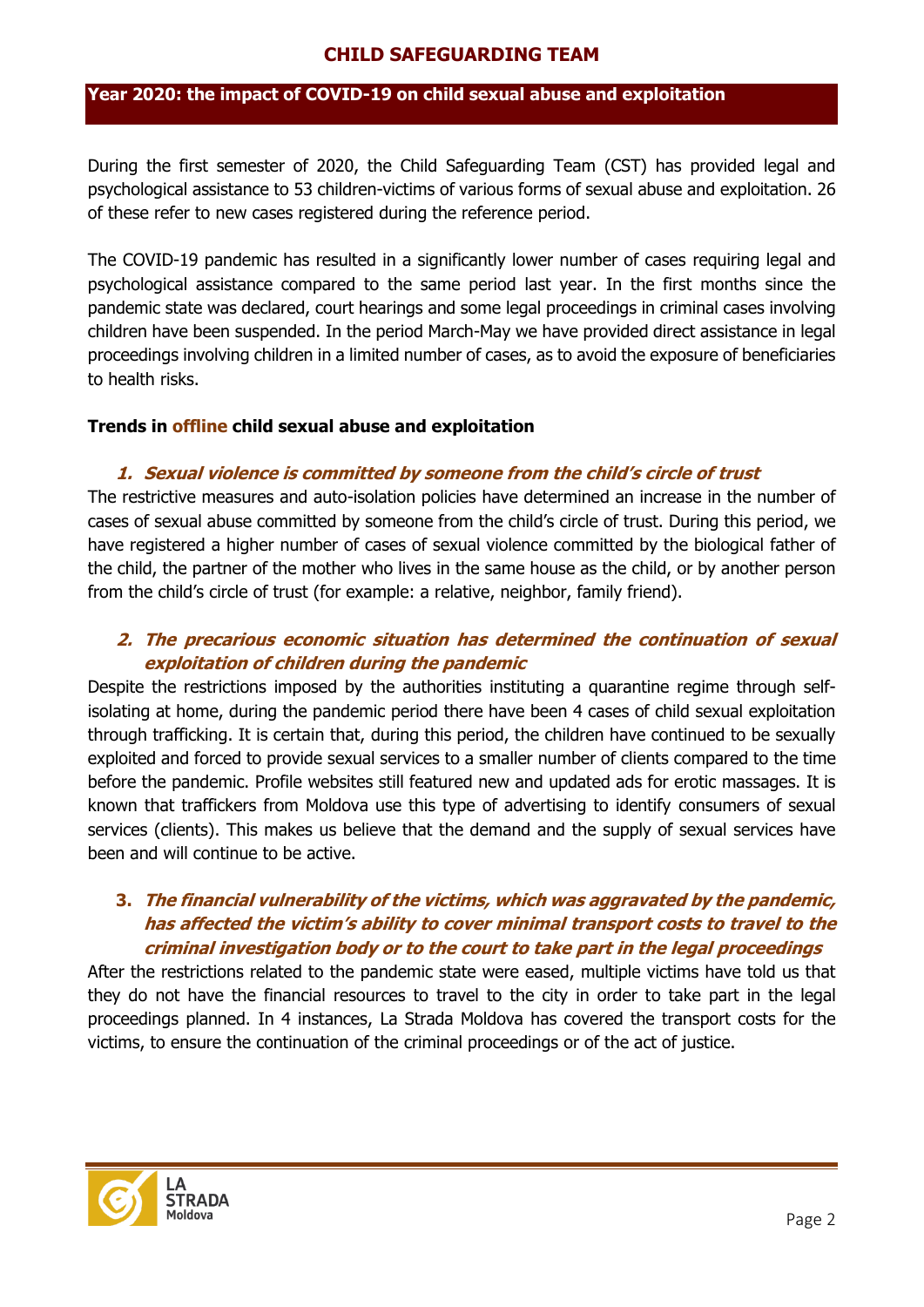#### **Year 2020: the impact of COVID-19 on child sexual abuse and exploitation**

During the first semester of 2020, the Child Safeguarding Team (CST) has provided legal and psychological assistance to 53 children-victims of various forms of sexual abuse and exploitation. 26 of these refer to new cases registered during the reference period.

The COVID-19 pandemic has resulted in a significantly lower number of cases requiring legal and psychological assistance compared to the same period last year. In the first months since the pandemic state was declared, court hearings and some legal proceedings in criminal cases involving children have been suspended. In the period March-May we have provided direct assistance in legal proceedings involving children in a limited number of cases, as to avoid the exposure of beneficiaries to health risks.

#### **Trends in offline child sexual abuse and exploitation**

### **1. Sexual violence is committed by someone from the child's circle of trust**

The restrictive measures and auto-isolation policies have determined an increase in the number of cases of sexual abuse committed by someone from the child's circle of trust. During this period, we have registered a higher number of cases of sexual violence committed by the biological father of the child, the partner of the mother who lives in the same house as the child, or by another person from the child's circle of trust (for example: a relative, neighbor, family friend).

## **2. The precarious economic situation has determined the continuation of sexual exploitation of children during the pandemic**

Despite the restrictions imposed by the authorities instituting a quarantine regime through selfisolating at home, during the pandemic period there have been 4 cases of child sexual exploitation through trafficking. It is certain that, during this period, the children have continued to be sexually exploited and forced to provide sexual services to a smaller number of clients compared to the time before the pandemic. Profile websites still featured new and updated ads for erotic massages. It is known that traffickers from Moldova use this type of advertising to identify consumers of sexual services (clients). This makes us believe that the demand and the supply of sexual services have been and will continue to be active.

## **3. The financial vulnerability of the victims, which was aggravated by the pandemic, has affected the victim's ability to cover minimal transport costs to travel to the criminal investigation body or to the court to take part in the legal proceedings**

After the restrictions related to the pandemic state were eased, multiple victims have told us that they do not have the financial resources to travel to the city in order to take part in the legal proceedings planned. In 4 instances, La Strada Moldova has covered the transport costs for the victims, to ensure the continuation of the criminal proceedings or of the act of justice.

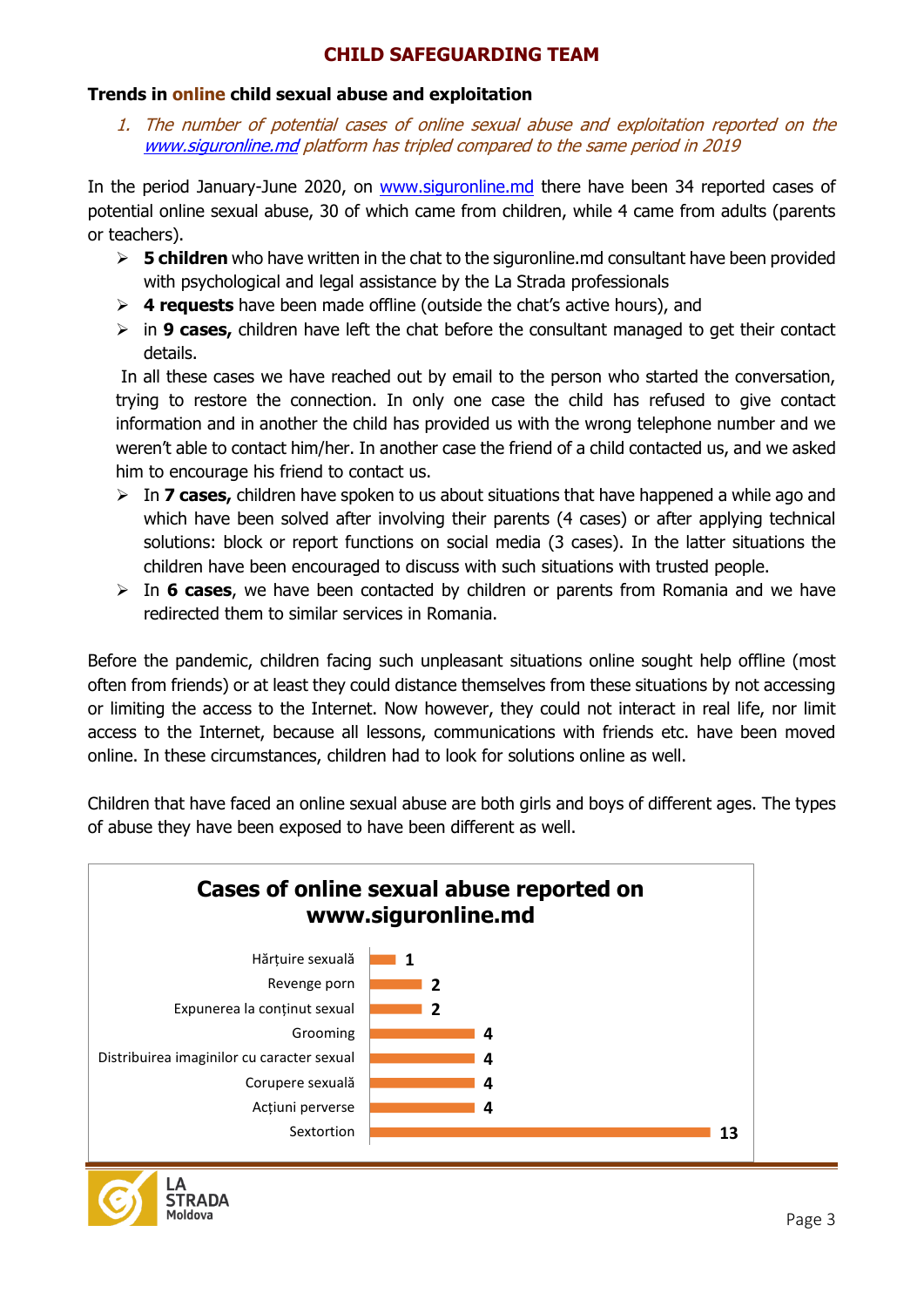## **Trends in online child sexual abuse and exploitation**

1. The number of potential cases of online sexual abuse and exploitation reported on the [www.siguronline.md](http://www.siguronline.md/) platform has tripled compared to the same period in 2019

In the period January-June 2020, on [www.siguronline.md](http://www.siguronline.md/) there have been 34 reported cases of potential online sexual abuse, 30 of which came from children, while 4 came from adults (parents or teachers).

- **5 children** who have written in the chat to the siguronline.md consultant have been provided with psychological and legal assistance by the La Strada professionals
- **4 requests** have been made offline (outside the chat's active hours), and
- $\triangleright$  in **9 cases,** children have left the chat before the consultant managed to get their contact details.

In all these cases we have reached out by email to the person who started the conversation, trying to restore the connection. In only one case the child has refused to give contact information and in another the child has provided us with the wrong telephone number and we weren't able to contact him/her. In another case the friend of a child contacted us, and we asked him to encourage his friend to contact us.

- $\triangleright$  In **7 cases,** children have spoken to us about situations that have happened a while ago and which have been solved after involving their parents (4 cases) or after applying technical solutions: block or report functions on social media (3 cases). In the latter situations the children have been encouraged to discuss with such situations with trusted people.
- In **6 cases**, we have been contacted by children or parents from Romania and we have redirected them to similar services in Romania.

Before the pandemic, children facing such unpleasant situations online sought help offline (most often from friends) or at least they could distance themselves from these situations by not accessing or limiting the access to the Internet. Now however, they could not interact in real life, nor limit access to the Internet, because all lessons, communications with friends etc. have been moved online. In these circumstances, children had to look for solutions online as well.

Children that have faced an online sexual abuse are both girls and boys of different ages. The types of abuse they have been exposed to have been different as well.